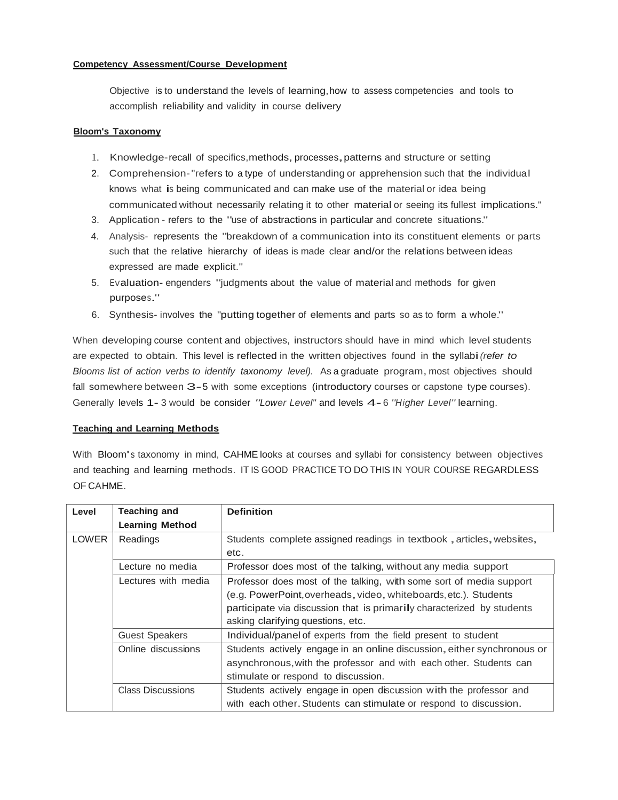#### **Competency Assessment/Course Development**

Objective is to understand the levels of learning,how to assess competencies and tools to accomplish reliability and validity in course delivery

#### **Bloom's Taxonomy**

- 1. Knowledge-recall of specifics,methods,processes,patterns and structure or setting
- 2. Comprehension-"refers to a type of understanding or apprehension such that the individual knows what is being communicated and can make use of the material or idea being communicated without necessarily relating it to other material or seeing its fullest implications."
- 3. Application refers to the "use of abstractions in particular and concrete situations."
- 4. Analysis- represents the "breakdown of <sup>a</sup> communication into its constituent elements or parts such that the relative hierarchy of ideas is made clear and/or the relations between ideas expressed are made explicit."
- 5. Evaluation- engenders "judgments about the value of material and methods for given purposes."
- 6. Synthesis- involves the "putting together of elements and parts so as to form <sup>a</sup> whole."

When developing course content and objectives, instructors should have in mind which level students are expected to obtain. This level is reflected in the written objectives found in the syllabi*(refer to Blooms list of action verbs to identify taxonomy level).* As a graduate program, most objectives should fall somewhere between 3-5 with some exceptions (introductory courses or capstone type courses). Generally levels 1- 3 would be consider *"Lower Level"* and levels 4-6 *"Higher Level"* learning.

#### **Teaching and Learning Methods**

With Bloom's taxonomy in mind, CAHME looks at courses and syllabi for consistency between objectives and teaching and learning methods. IT IS GOOD PRACTICE TO DO THIS IN YOUR COURSE REGARDLESS OF CAHME.

| Level        | <b>Teaching and</b>                                                 | <b>Definition</b>                                                       |  |  |
|--------------|---------------------------------------------------------------------|-------------------------------------------------------------------------|--|--|
|              | <b>Learning Method</b>                                              |                                                                         |  |  |
| <b>LOWER</b> | Readings                                                            | Students complete assigned readings in textbook, articles, websites,    |  |  |
|              |                                                                     | etc.                                                                    |  |  |
|              | Lecture no media                                                    | Professor does most of the talking, without any media support           |  |  |
|              | Professor does most of the talking, with some sort of media support |                                                                         |  |  |
|              |                                                                     | (e.g. PowerPoint, overheads, video, whiteboards, etc.). Students        |  |  |
|              |                                                                     | participate via discussion that is primarily characterized by students  |  |  |
|              | asking clarifying questions, etc.                                   |                                                                         |  |  |
|              | Individual/panel of experts from the field present to student       |                                                                         |  |  |
|              | Online discussions                                                  | Students actively engage in an online discussion, either synchronous or |  |  |
|              |                                                                     | asynchronous, with the professor and with each other. Students can      |  |  |
|              |                                                                     | stimulate or respond to discussion.                                     |  |  |
|              | <b>Class Discussions</b>                                            | Students actively engage in open discussion with the professor and      |  |  |
|              |                                                                     | with each other. Students can stimulate or respond to discussion.       |  |  |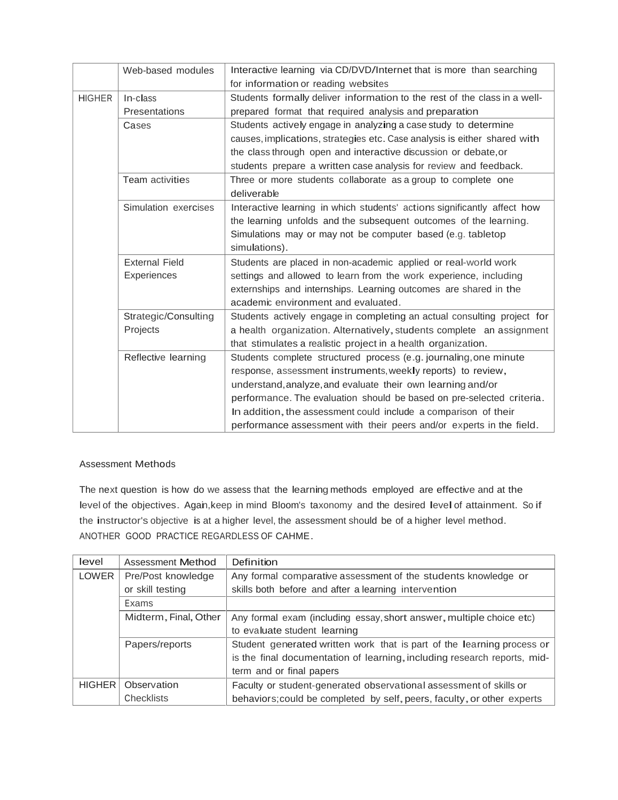|               | Web-based modules      | Interactive learning via CD/DVD/Internet that is more than searching      |  |  |
|---------------|------------------------|---------------------------------------------------------------------------|--|--|
|               |                        | for information or reading websites                                       |  |  |
| <b>HIGHER</b> | In-class               | Students formally deliver information to the rest of the class in a well- |  |  |
|               | Presentations          | prepared format that required analysis and preparation                    |  |  |
|               | Cases                  | Students actively engage in analyzing a case study to determine           |  |  |
|               |                        | causes, implications, strategies etc. Case analysis is either shared with |  |  |
|               |                        | the class through open and interactive discussion or debate, or           |  |  |
|               |                        | students prepare a written case analysis for review and feedback.         |  |  |
|               | <b>Team activities</b> | Three or more students collaborate as a group to complete one             |  |  |
|               |                        | deliverable                                                               |  |  |
|               | Simulation exercises   | Interactive learning in which students' actions significantly affect how  |  |  |
|               |                        | the learning unfolds and the subsequent outcomes of the learning.         |  |  |
|               |                        | Simulations may or may not be computer based (e.g. tabletop               |  |  |
|               |                        | simulations).                                                             |  |  |
|               | <b>External Field</b>  | Students are placed in non-academic applied or real-world work            |  |  |
|               | Experiences            | settings and allowed to learn from the work experience, including         |  |  |
|               |                        | externships and internships. Learning outcomes are shared in the          |  |  |
|               |                        | academic environment and evaluated.                                       |  |  |
|               | Strategic/Consulting   | Students actively engage in completing an actual consulting project for   |  |  |
|               | Projects               | a health organization. Alternatively, students complete an assignment     |  |  |
|               |                        | that stimulates a realistic project in a health organization.             |  |  |
|               | Reflective learning    | Students complete structured process (e.g. journaling, one minute         |  |  |
|               |                        | response, assessment instruments, weekly reports) to review,              |  |  |
|               |                        | understand, analyze, and evaluate their own learning and/or               |  |  |
|               |                        | performance. The evaluation should be based on pre-selected criteria.     |  |  |
|               |                        | In addition, the assessment could include a comparison of their           |  |  |
|               |                        | performance assessment with their peers and/or experts in the field.      |  |  |

## Assessment Methods

The next question is how do we assess that the learning methods employed are effective and at the level of the objectives. Again, keep in mind Bloom's taxonomy and the desired level of attainment. So if the instructor's objective is at <sup>a</sup> higher level, the assessment should be of <sup>a</sup> higher level method. ANOTHER GOOD PRACTICE REGARDLESS OF CAHME.

| level         | Assessment Method     | Definition                                                               |  |  |
|---------------|-----------------------|--------------------------------------------------------------------------|--|--|
| LOWER         | Pre/Post knowledge    | Any formal comparative assessment of the students knowledge or           |  |  |
|               | or skill testing      | skills both before and after a learning intervention                     |  |  |
|               | Exams                 |                                                                          |  |  |
|               | Midterm, Final, Other | Any formal exam (including essay, short answer, multiple choice etc)     |  |  |
|               |                       | to evaluate student learning                                             |  |  |
|               | Papers/reports        | Student generated written work that is part of the learning process or   |  |  |
|               |                       | is the final documentation of learning, including research reports, mid- |  |  |
|               |                       | term and or final papers                                                 |  |  |
| <b>HIGHER</b> | Observation           | Faculty or student-generated observational assessment of skills or       |  |  |
|               | Checklists            | behaviors; could be completed by self, peers, faculty, or other experts  |  |  |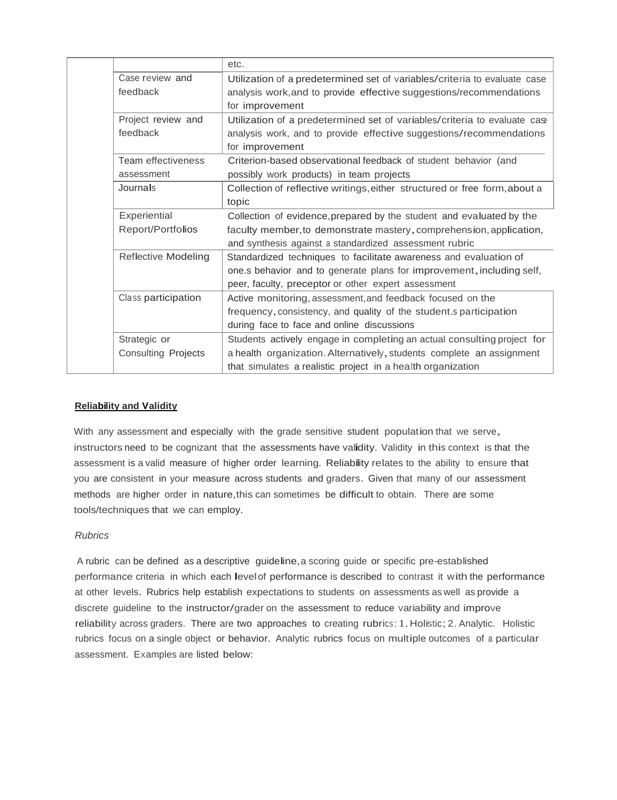|                            | etc.                                                                       |  |
|----------------------------|----------------------------------------------------------------------------|--|
| Case review and            | Utilization of a predetermined set of variables/criteria to evaluate case  |  |
| feedback                   | analysis work, and to provide effective suggestions/recommendations        |  |
|                            | for improvement                                                            |  |
| Project review and         | Utilization of a predetermined set of variables/criteria to evaluate case  |  |
| feedback                   | analysis work, and to provide effective suggestions/recommendations        |  |
|                            | for improvement                                                            |  |
| Team effectiveness         | Criterion-based observational feedback of student behavior (and            |  |
| assessment                 | possibly work products) in team projects                                   |  |
| Journals                   | Collection of reflective writings, either structured or free form, about a |  |
|                            | topic                                                                      |  |
| Experiential               | Collection of evidence, prepared by the student and evaluated by the       |  |
| Report/Portfolios          | faculty member, to demonstrate mastery, comprehension, application,        |  |
|                            | and synthesis against a standardized assessment rubric                     |  |
| <b>Reflective Modeling</b> | Standardized techniques to facilitate awareness and evaluation of          |  |
|                            | one.s behavior and to generate plans for improvement, including self,      |  |
|                            | peer, faculty, preceptor or other expert assessment                        |  |
| Class participation        | Active monitoring, assessment, and feedback focused on the                 |  |
|                            | frequency, consistency, and quality of the student.s participation         |  |
|                            | during face to face and online discussions                                 |  |
| Strategic or               | Students actively engage in completing an actual consulting project for    |  |
| <b>Consulting Projects</b> | a health organization. Alternatively, students complete an assignment      |  |
|                            | that simulates a realistic project in a health organization                |  |

# **Reliability and Validity**

With any assessment and especially with the grade sensitive student population that we serve, instructors need to be cognizant that the assessments have validity. Validity in this context is that the assessment is <sup>a</sup> valid measure of higher order learning. Reliability relates to the ability to ensure that you are consistent in your measure across students and graders. Given that many of our assessment methods are higher order in nature,this can sometimes be difficult to obtain. There are some tools/techniques that we can employ.

## *Rubrics*

A rubric can be defined as a descriptive guideline,a scoring guide or specific pre-established performance criteria in which each levelof performance is described to contrast it with the performance at other levels. Rubrics help establish expectations to students on assessments as well as provide <sup>a</sup> discrete guideline to the instructor/grader on the assessment to reduce variability and improve reliability across graders. There are two approaches to creating rubrics:1. Holistic;2.Analytic. Holistic rubrics focus on <sup>a</sup> single object or behavior. Analytic rubrics focus on multiple outcomes of <sup>a</sup> particular assessment. Examples are listed below: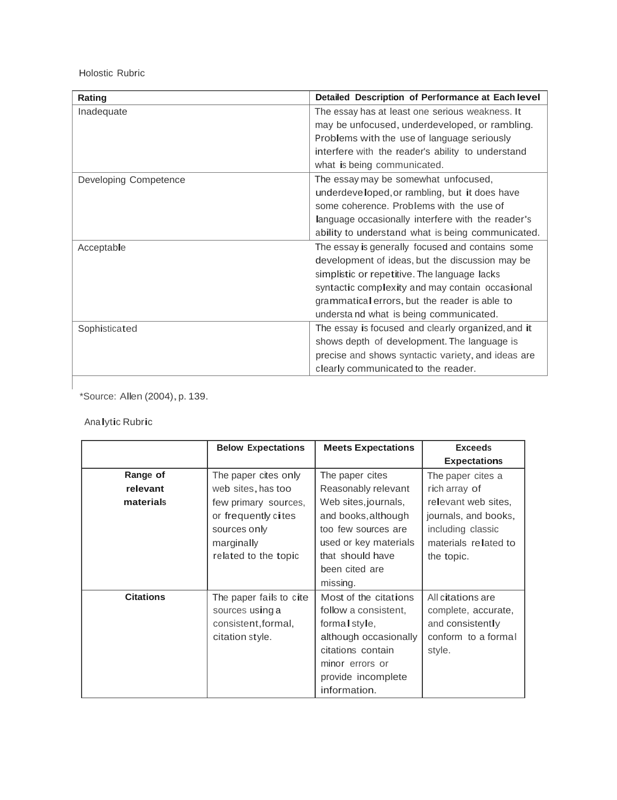Holostic Rubric

| Rating                | Detailed Description of Performance at Each level  |
|-----------------------|----------------------------------------------------|
| Inadequate            | The essay has at least one serious weakness. It    |
|                       | may be unfocused, underdeveloped, or rambling.     |
|                       | Problems with the use of language seriously        |
|                       | interfere with the reader's ability to understand  |
|                       | what is being communicated.                        |
| Developing Competence | The essay may be somewhat unfocused,               |
|                       | underdeveloped, or rambling, but it does have      |
|                       | some coherence. Problems with the use of           |
|                       | language occasionally interfere with the reader's  |
|                       | ability to understand what is being communicated.  |
| Acceptable            | The essay is generally focused and contains some   |
|                       | development of ideas, but the discussion may be    |
|                       | simplistic or repetitive. The language lacks       |
|                       | syntactic complexity and may contain occasional    |
|                       | grammatical errors, but the reader is able to      |
|                       | understa nd what is being communicated.            |
| Sophisticated         | The essay is focused and clearly organized, and it |
|                       | shows depth of development. The language is        |
|                       | precise and shows syntactic variety, and ideas are |
|                       | clearly communicated to the reader.                |

\*Source: Allen (2004),p. 139.

# Analytic Rubric

|                  | <b>Below Expectations</b> | <b>Meets Expectations</b> | <b>Exceeds</b>       |
|------------------|---------------------------|---------------------------|----------------------|
|                  |                           |                           | <b>Expectations</b>  |
| Range of         | The paper cites only      | The paper cites           | The paper cites a    |
| relevant         | web sites, has too        | Reasonably relevant       | rich array of        |
| materials        | few primary sources,      | Web sites, journals,      | relevant web sites,  |
|                  | or frequently cites       | and books, although       | journals, and books, |
|                  | sources only              | too few sources are       | including classic    |
|                  | marginally                | used or key materials     | materials related to |
|                  | related to the topic      | that should have          | the topic.           |
|                  |                           | been cited are            |                      |
|                  |                           | missing.                  |                      |
| <b>Citations</b> | The paper fails to cite   | Most of the citations     | All citations are    |
|                  | sources using a           | follow a consistent.      | complete, accurate,  |
|                  | consistent, formal,       | formal style,             | and consistently     |
|                  | citation style.           | although occasionally     | conform to a formal  |
|                  |                           | citations contain         | style.               |
|                  |                           | minor errors or           |                      |
|                  |                           | provide incomplete        |                      |
|                  |                           | information.              |                      |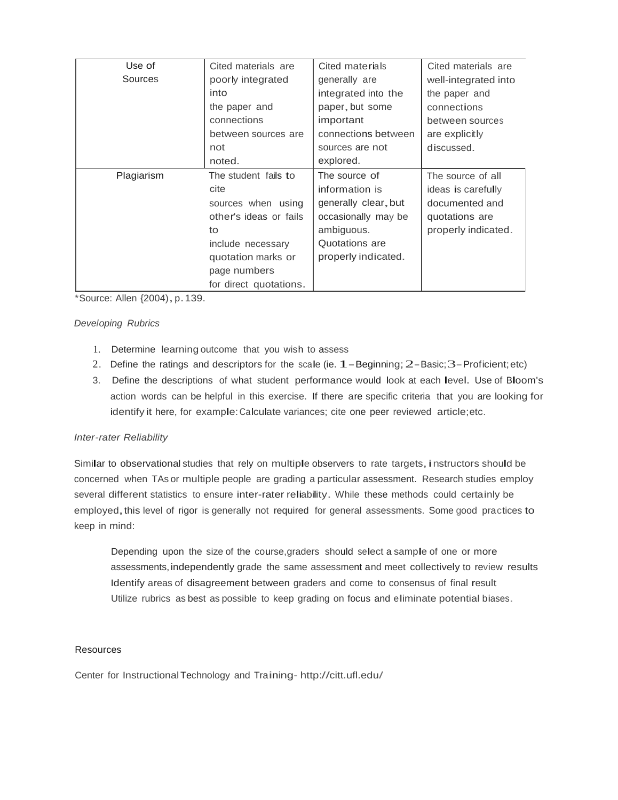| Use of     | Cited materials are    | Cited materials      | Cited materials are  |
|------------|------------------------|----------------------|----------------------|
| Sources    | poorly integrated      | generally are        | well-integrated into |
|            | into                   | integrated into the  | the paper and        |
|            | the paper and          | paper, but some      | connections          |
|            | connections            | important            | between sources      |
|            | between sources are    | connections between  | are explicitly       |
|            | not                    | sources are not      | discussed.           |
|            | noted.                 | explored.            |                      |
| Plagiarism | The student fails to   | The source of        | The source of all    |
|            | cite                   | information is       | ideas is carefully   |
|            | sources when using     | generally clear, but | documented and       |
|            | other's ideas or fails | occasionally may be  | quotations are       |
|            | to                     | ambiguous.           | properly indicated.  |
|            | include necessary      | Quotations are       |                      |
|            | quotation marks or     | properly indicated.  |                      |
|            | page numbers           |                      |                      |
|            | for direct quotations. |                      |                      |

\*Source: Allen {2004),p.139.

## *Developing Rubrics*

- 1. Determine learning outcome that you wish to assess
- 2. Define the ratings and descriptors for the scale (ie.  $1 -$ Beginning;  $2 -$ Basic;  $3 -$ Proficient; etc)
- 3. Define the descriptions of what student performance would look at each level. Use of Bloom's action words can be helpful in this exercise. If there are specific criteria that you are looking for identify it here, for example: Calculate variances; cite one peer reviewed article;etc.

#### *Inter-rater Reliability*

Similar to observational studies that rely on multiple observers to rate targets, instructors should be concerned when TAs or multiple people are grading a particular assessment. Research studies employ several different statistics to ensure inter-rater reliability. While these methods could certainly be employed, this level of rigor is generally not required for general assessments. Some good practices to keep in mind:

Depending upon the size of the course,graders should select <sup>a</sup> sample of one or more assessments,independently grade the same assessment and meet collectively to review results Identify areas of disagreement between graders and come to consensus of final result Utilize rubrics as best as possible to keep grading on focus and eliminate potential biases.

#### **Resources**

Center for InstructionalTechnology and Training- <http://citt.ufl.edu/>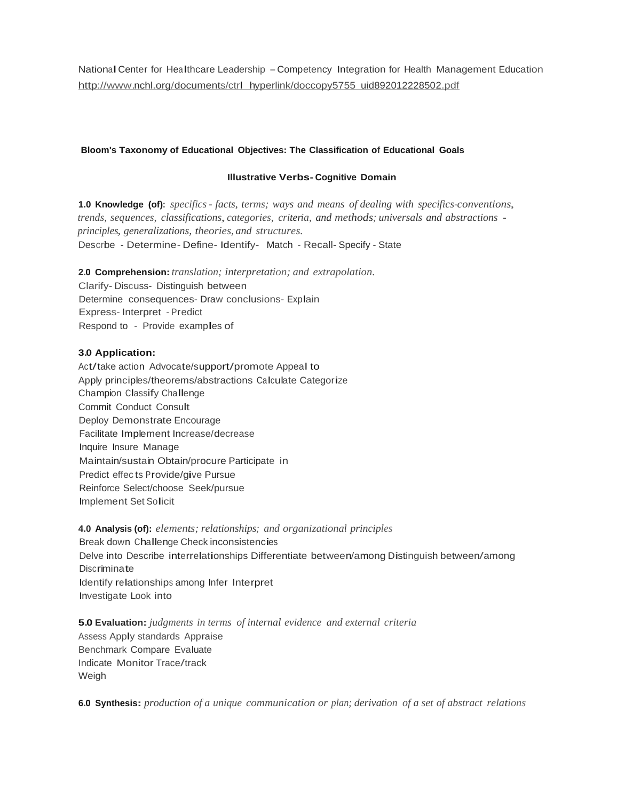National Center for Healthcare Leadership - Competency Integration for Health Management Education http://www.nchl.org/documents/ctrl hyperlink/doccopy5755 uid892012228502.pdf

# **Bloom's Taxonomy of Educational Objectives: The Classification of Educational Goals**

# **Illustrative Verbs- Cognitive Domain**

**1.0 Knowledge (of):** *specifics- facts, terms; ways and means of dealing with specifics-conventions, trends, sequences, classifications,categories, criteria, and methods; universals and abstractions principles, generalizations, theories, and structures.* Describe - Determine- Define- Identify- Match - Recall- Specify - State

**2.0 Comprehension:***translation; interpretation; and extrapolation.* Clarify- Discuss- Distinguish between Determine consequences- Draw conclusions- Explain Express- Interpret - Predict Respond to - Provide examples of

## **3.0 Application:**

Act/take action Advocate/support/promote Appeal to Apply principles/theorems/abstractions Calculate Categorize Champion Classify Challenge Commit Conduct Consult Deploy Demonstrate Encourage Facilitate Implement Increase/decrease Inquire Insure Manage Maintain/sustain Obtain/procure Participate in Predict effec ts Provide/give Pursue Reinforce Select/choose Seek/pursue Implement Set Solicit

**4.0 Analysis (of):** *elements; relationships; and organizational principles* Break down Challenge Check inconsistencies Delve into Describe interrelationships Differentiate between/among Distinguish between/among **Discriminate** Identify relationships among Infer Interpret Investigate Look into

**5.0 Evaluation:***judgments in terms of internal evidence and external criteria* Assess Apply standards Appraise Benchmark Compare Evaluate Indicate Monitor Trace/track Weigh

**6.0 Synthesis:** *production of a unique communication or plan; derivation of a set of abstract relations*